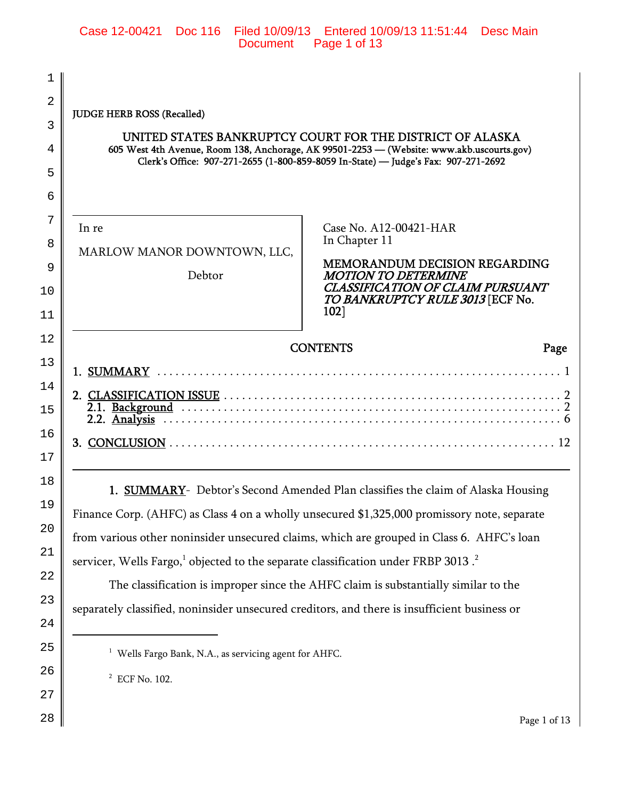| 1              |                                                                                                           |                                                                                             |
|----------------|-----------------------------------------------------------------------------------------------------------|---------------------------------------------------------------------------------------------|
| $\overline{2}$ | <b>JUDGE HERB ROSS (Recalled)</b>                                                                         |                                                                                             |
| 3              |                                                                                                           | UNITED STATES BANKRUPTCY COURT FOR THE DISTRICT OF ALASKA                                   |
| 4              |                                                                                                           | 605 West 4th Avenue, Room 138, Anchorage, AK 99501-2253 - (Website: www.akb.uscourts.gov)   |
| 5              |                                                                                                           | Clerk's Office: 907-271-2655 (1-800-859-8059 In-State) - Judge's Fax: 907-271-2692          |
| 6              |                                                                                                           |                                                                                             |
| 7              |                                                                                                           |                                                                                             |
| 8              | In re                                                                                                     | Case No. A12-00421-HAR<br>In Chapter 11                                                     |
| 9              | MARLOW MANOR DOWNTOWN, LLC,                                                                               | <b>MEMORANDUM DECISION REGARDING</b>                                                        |
| 10             | Debtor                                                                                                    | <b>MOTION TO DETERMINE</b><br><b>CLASSIFICATION OF CLAIM PURSUANT</b>                       |
| 11             |                                                                                                           | TO BANKRUPTCY RULE 3013 [ECF No.<br>102]                                                    |
|                |                                                                                                           |                                                                                             |
|                |                                                                                                           |                                                                                             |
| 12             |                                                                                                           | <b>CONTENTS</b><br>Page                                                                     |
| 13             |                                                                                                           |                                                                                             |
| 14             |                                                                                                           |                                                                                             |
| 15             |                                                                                                           |                                                                                             |
| 16             |                                                                                                           |                                                                                             |
| 17             |                                                                                                           |                                                                                             |
| 18             |                                                                                                           | 1. SUMMARY- Debtor's Second Amended Plan classifies the claim of Alaska Housing             |
| 19             |                                                                                                           | Finance Corp. (AHFC) as Class 4 on a wholly unsecured \$1,325,000 promissory note, separate |
| 20             |                                                                                                           | from various other noninsider unsecured claims, which are grouped in Class 6. AHFC's loan   |
| 21             |                                                                                                           |                                                                                             |
| 22             | servicer, Wells Fargo, <sup>1</sup> objected to the separate classification under FRBP 3013. <sup>2</sup> | The classification is improper since the AHFC claim is substantially similar to the         |

separately classified, noninsider unsecured creditors, and there is insufficient business or

<sup>1</sup> Wells Fargo Bank, N.A., as servicing agent for AHFC.

2 ECF No. 102.

24

25

26

27

28

Page 1 of 13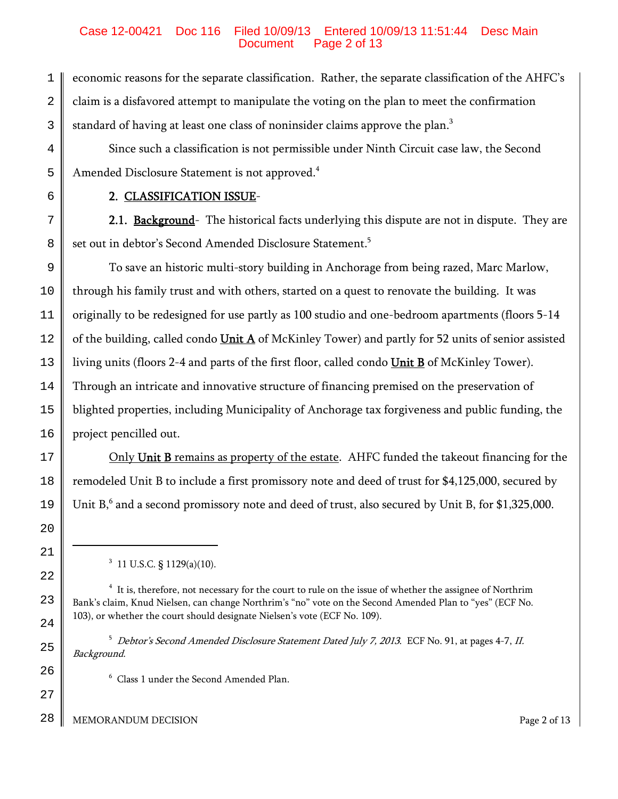## Case 12-00421 Doc 116 Filed 10/09/13 Entered 10/09/13 11:51:44 Desc Main Page 2 of 13

1 2 3 economic reasons for the separate classification. Rather, the separate classification of the AHFC's claim is a disfavored attempt to manipulate the voting on the plan to meet the confirmation standard of having at least one class of noninsider claims approve the plan.<sup>3</sup>

Since such a classification is not permissible under Ninth Circuit case law, the Second Amended Disclosure Statement is not approved.<sup>4</sup>

6 7

8

4

5

# 2. CLASSIFICATION ISSUE-

2.1. Background- The historical facts underlying this dispute are not in dispute. They are set out in debtor's Second Amended Disclosure Statement.<sup>5</sup>

9 10 11 12 13 14 15 16 To save an historic multi-story building in Anchorage from being razed, Marc Marlow, through his family trust and with others, started on a quest to renovate the building. It was originally to be redesigned for use partly as 100 studio and one-bedroom apartments (floors 5-14 of the building, called condo  $Unit A$  of McKinley Tower) and partly for 52 units of senior assisted</u> living units (floors 2-4 and parts of the first floor, called condo Unit B of McKinley Tower). Through an intricate and innovative structure of financing premised on the preservation of blighted properties, including Municipality of Anchorage tax forgiveness and public funding, the project pencilled out.

Only Unit B remains as property of the estate. AHFC funded the takeout financing for the remodeled Unit B to include a first promissory note and deed of trust for \$4,125,000, secured by Unit  $B<sub>0</sub><sup>6</sup>$  and a second promissory note and deed of trust, also secured by Unit B, for \$1,325,000.

26

27

17

18

 $3\,$  11 U.S.C. § 1129(a)(10).

<sup>5</sup> Debtor's Second Amended Disclosure Statement Dated July 7, 2013. ECF No. 91, at pages 4-7, II. Background.

6 Class 1 under the Second Amended Plan.

28 MEMORANDUM DECISION Page 2 of 13

 $^4$  It is, therefore, not necessary for the court to rule on the issue of whether the assignee of Northrim Bank's claim, Knud Nielsen, can change Northrim's "no" vote on the Second Amended Plan to "yes" (ECF No. 103), or whether the court should designate Nielsen's vote (ECF No. 109).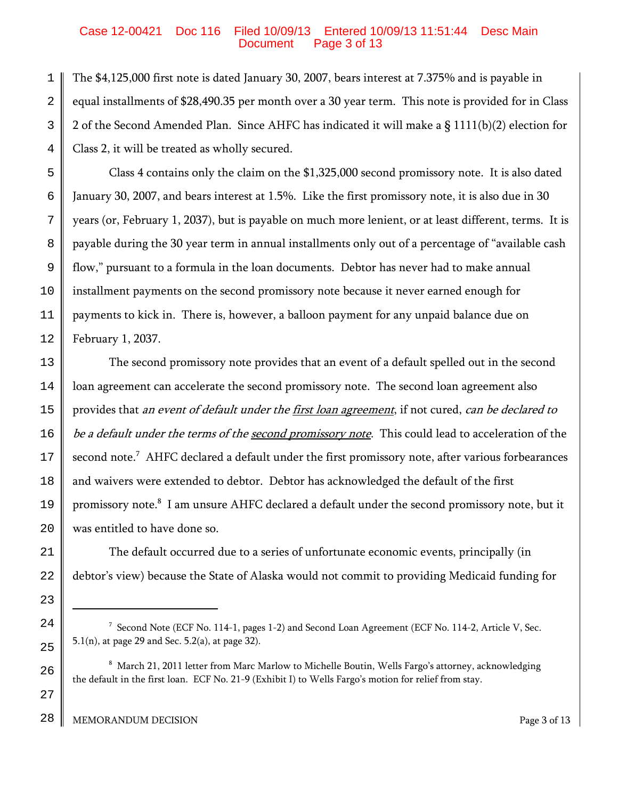## Case 12-00421 Doc 116 Filed 10/09/13 Entered 10/09/13 11:51:44 Desc Main Page 3 of 13

1 2 3 4 The \$4,125,000 first note is dated January 30, 2007, bears interest at 7.375% and is payable in equal installments of \$28,490.35 per month over a 30 year term. This note is provided for in Class 2 of the Second Amended Plan. Since AHFC has indicated it will make a § 1111(b)(2) election for Class 2, it will be treated as wholly secured.

5 6 7 8 9 10 11 12 Class 4 contains only the claim on the \$1,325,000 second promissory note. It is also dated January 30, 2007, and bears interest at 1.5%. Like the first promissory note, it is also due in 30 years (or, February 1, 2037), but is payable on much more lenient, or at least different, terms. It is payable during the 30 year term in annual installments only out of a percentage of "available cash flow," pursuant to a formula in the loan documents. Debtor has never had to make annual installment payments on the second promissory note because it never earned enough for payments to kick in. There is, however, a balloon payment for any unpaid balance due on February 1, 2037.

13 14 15 16 17 18 19 20 The second promissory note provides that an event of a default spelled out in the second loan agreement can accelerate the second promissory note. The second loan agreement also provides that an event of default under the first loan agreement, if not cured, can be declared to be a default under the terms of the second promissory note. This could lead to acceleration of the second note. $^7\,$  AHFC declared a default under the first promissory note, after various forbearances and waivers were extended to debtor. Debtor has acknowledged the default of the first promissory note. $^{\rm 8}$  I am unsure AHFC declared a default under the second promissory note, but it was entitled to have done so.

21 22 The default occurred due to a series of unfortunate economic events, principally (in debtor's view) because the State of Alaska would not commit to providing Medicaid funding for

23

24

25

26

27

 $^7$  Second Note (ECF No. 114-1, pages 1-2) and Second Loan Agreement (ECF No. 114-2, Article V, Sec. 5.1(n), at page 29 and Sec. 5.2(a), at page 32).

 $^{\rm 8}$  March 21, 2011 letter from Marc Marlow to Michelle Boutin, Wells Fargo's attorney, acknowledging the default in the first loan. ECF No. 21-9 (Exhibit I) to Wells Fargo's motion for relief from stay.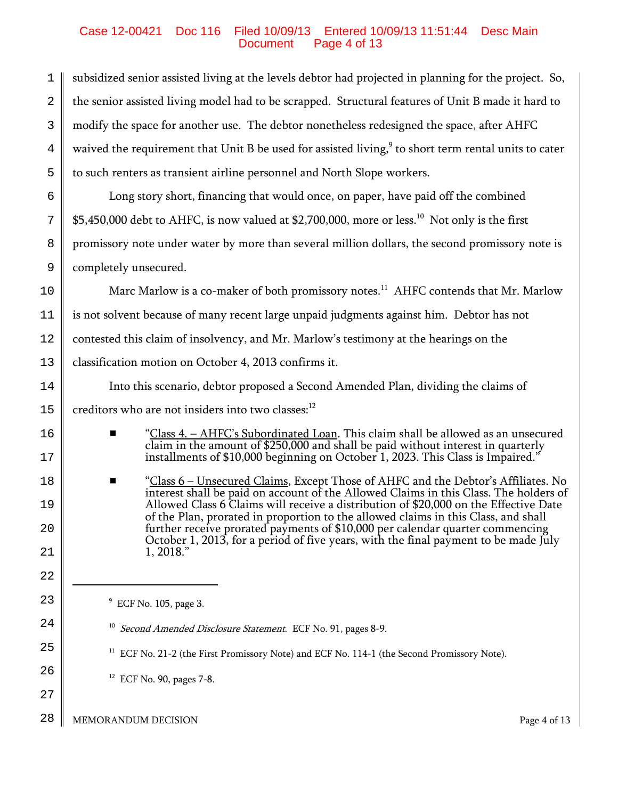## Case 12-00421 Doc 116 Filed 10/09/13 Entered 10/09/13 11:51:44 Desc Main Page 4 of 13

1 2 3 4 5 subsidized senior assisted living at the levels debtor had projected in planning for the project. So, the senior assisted living model had to be scrapped. Structural features of Unit B made it hard to modify the space for another use. The debtor nonetheless redesigned the space, after AHFC waived the requirement that Unit B be used for assisted living, $^{\circ}$  to short term rental units to cater to such renters as transient airline personnel and North Slope workers.

6 7 8 9 Long story short, financing that would once, on paper, have paid off the combined \$5,450,000 debt to AHFC, is now valued at \$2,700,000, more or less.<sup>10</sup> Not only is the first promissory note under water by more than several million dollars, the second promissory note is completely unsecured.

10 11 12 13 Marc Marlow is a co-maker of both promissory notes.<sup>11</sup> AHFC contends that Mr. Marlow is not solvent because of many recent large unpaid judgments against him. Debtor has not contested this claim of insolvency, and Mr. Marlow's testimony at the hearings on the classification motion on October 4, 2013 confirms it.

Into this scenario, debtor proposed a Second Amended Plan, dividing the claims of

15 creditors who are not insiders into two classes:<sup>12</sup>

- # "Class 4. AHFC's Subordinated Loan. This claim shall be allowed as an unsecured claim in the amount of \$250,000 and shall be paid without interest in quarterly installments of \$10,000 beginning on October 1, 2023. This Class is Impaired."
- "Class 6 Unsecured Claims, Except Those of AHFC and the Debtor's Affiliates. No interest shall be paid on account of the Allowed Claims in this Class. The holders of Allowed Class 6 Claims will receive a distribution of \$20,000 on the Effective Date of the Plan, prorated in proportion to the allowed claims in this Class, and shall further receive prorated payments of \$10,000 per calendar quarter commencing October 1, 2013, for a period of five years, with the final payment to be made July 1, 2018."

9 ECF No. 105, page 3.

 $12$  ECF No. 90, pages 7-8.

- <sup>10</sup> Second Amended Disclosure Statement. ECF No. 91, pages 8-9.
- <sup>11</sup> ECF No. 21-2 (the First Promissory Note) and ECF No. 114-1 (the Second Promissory Note).

26

27

14

16

17

18

19

20

21

22

23

24

25

28 MEMORANDUM DECISION **Page 4** of 13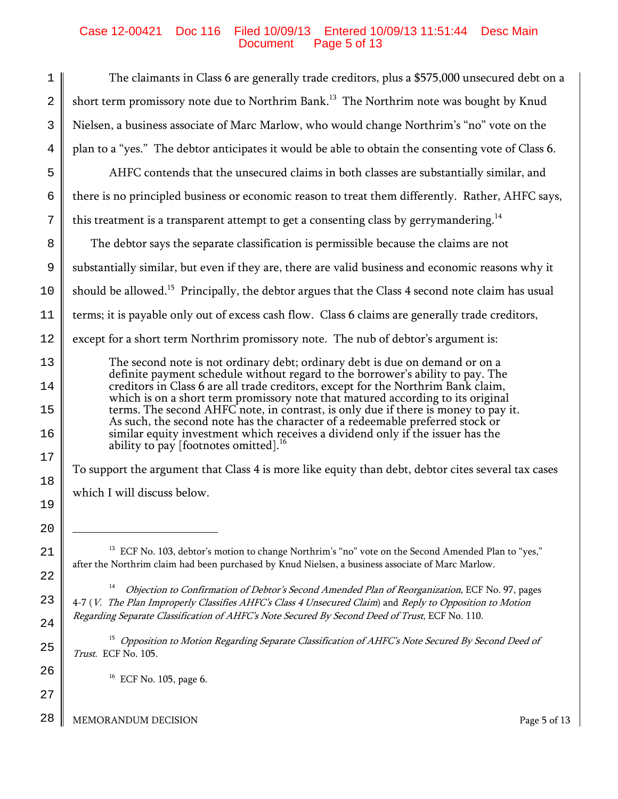## Case 12-00421 Doc 116 Filed 10/09/13 Entered 10/09/13 11:51:44 Desc Main Document Page 5 of 13

| 1              | The claimants in Class 6 are generally trade creditors, plus a \$575,000 unsecured debt on a                                                                                                                                                           |
|----------------|--------------------------------------------------------------------------------------------------------------------------------------------------------------------------------------------------------------------------------------------------------|
| $\overline{2}$ | short term promissory note due to Northrim Bank. <sup>13</sup> The Northrim note was bought by Knud                                                                                                                                                    |
| 3              | Nielsen, a business associate of Marc Marlow, who would change Northrim's "no" vote on the                                                                                                                                                             |
| 4              | plan to a "yes." The debtor anticipates it would be able to obtain the consenting vote of Class 6.                                                                                                                                                     |
| 5              | AHFC contends that the unsecured claims in both classes are substantially similar, and                                                                                                                                                                 |
| 6              | there is no principled business or economic reason to treat them differently. Rather, AHFC says,                                                                                                                                                       |
| 7              | this treatment is a transparent attempt to get a consenting class by gerrymandering. <sup>14</sup>                                                                                                                                                     |
| 8              | The debtor says the separate classification is permissible because the claims are not                                                                                                                                                                  |
| 9              | substantially similar, but even if they are, there are valid business and economic reasons why it                                                                                                                                                      |
| 10             | should be allowed. <sup>15</sup> Principally, the debtor argues that the Class 4 second note claim has usual                                                                                                                                           |
| 11             | terms; it is payable only out of excess cash flow. Class 6 claims are generally trade creditors,                                                                                                                                                       |
| 12             | except for a short term Northrim promissory note. The nub of debtor's argument is:                                                                                                                                                                     |
| 13<br>14       | The second note is not ordinary debt; ordinary debt is due on demand or on a<br>definite payment schedule without regard to the borrower's ability to pay. The<br>creditors in Class 6 are all trade creditors, except for the Northrim Bank claim,    |
| 15             | which is on a short term promissory note that matured according to its original<br>terms. The second AHFC note, in contrast, is only due if there is money to pay it.<br>As such, the second note has the character of a redeemable preferred stock or |
| 16             | similar equity investment which receives a dividend only if the issuer has the<br>ability to pay [footnotes omitted]. <sup>16</sup>                                                                                                                    |
| 17             | To support the argument that Class 4 is more like equity than debt, debtor cites several tax cases                                                                                                                                                     |
| 18             | which I will discuss below.                                                                                                                                                                                                                            |
| 19             |                                                                                                                                                                                                                                                        |
| 20             | ECF No. 103, debtor's motion to change Northrim's "no" vote on the Second Amended Plan to "yes,"                                                                                                                                                       |
| 21             | after the Northrim claim had been purchased by Knud Nielsen, a business associate of Marc Marlow.                                                                                                                                                      |
| 22             | 14<br>Objection to Confirmation of Debtor's Second Amended Plan of Reorganization, ECF No. 97, pages                                                                                                                                                   |
| 23<br>24       | 4-7 (V. The Plan Improperly Classifies AHFC's Class 4 Unsecured Claim) and Reply to Opposition to Motion<br>Regarding Separate Classification of AHFC's Note Secured By Second Deed of Trust, ECF No. 110.                                             |
| 25             | 15<br>Opposition to Motion Regarding Separate Classification of AHFC's Note Secured By Second Deed of<br>Trust. ECF No. 105.                                                                                                                           |
| 26             | ECF No. 105, page 6.                                                                                                                                                                                                                                   |
| 27             |                                                                                                                                                                                                                                                        |

28 MEMORANDUM DECISION Page 5 of 13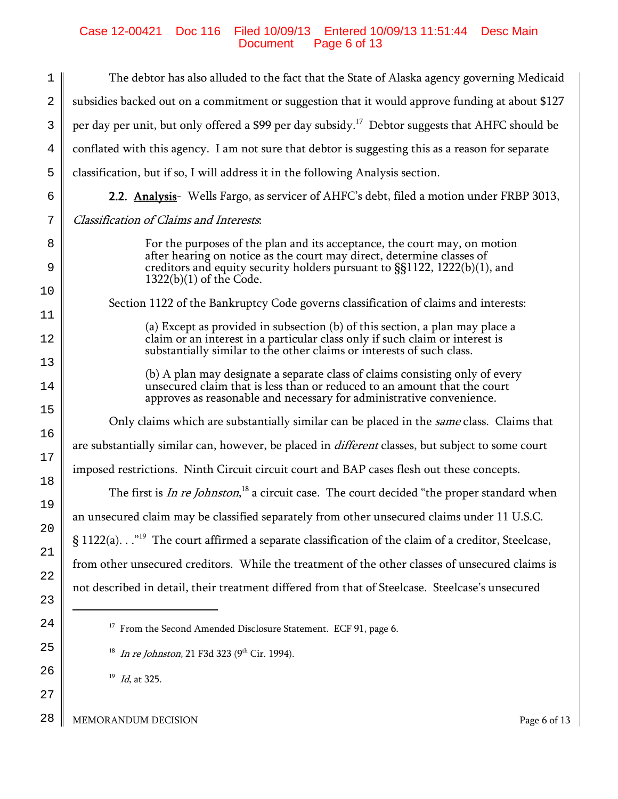# Case 12-00421 Doc 116 Filed 10/09/13 Entered 10/09/13 11:51:44 Desc Main Document Page 6 of 13

| 1              | The debtor has also alluded to the fact that the State of Alaska agency governing Medicaid                                                                                                                                       |
|----------------|----------------------------------------------------------------------------------------------------------------------------------------------------------------------------------------------------------------------------------|
| $\overline{2}$ | subsidies backed out on a commitment or suggestion that it would approve funding at about \$127                                                                                                                                  |
| 3              | per day per unit, but only offered a \$99 per day subsidy. <sup>17</sup> Debtor suggests that AHFC should be                                                                                                                     |
| 4              | conflated with this agency. I am not sure that debtor is suggesting this as a reason for separate                                                                                                                                |
| 5              | classification, but if so, I will address it in the following Analysis section.                                                                                                                                                  |
| 6              | 2.2. Analysis- Wells Fargo, as servicer of AHFC's debt, filed a motion under FRBP 3013,                                                                                                                                          |
| 7              | <b>Classification of Claims and Interests.</b>                                                                                                                                                                                   |
| 8              | For the purposes of the plan and its acceptance, the court may, on motion<br>after hearing on notice as the court may direct, determine classes of                                                                               |
| 9              | creditors and equity security holders pursuant to $\S(1122, 1222(b)(1))$ , and<br>$1322(b)(1)$ of the Code.                                                                                                                      |
| 10             | Section 1122 of the Bankruptcy Code governs classification of claims and interests:                                                                                                                                              |
| 11             | (a) Except as provided in subsection (b) of this section, a plan may place a                                                                                                                                                     |
| 12             | claim or an interest in a particular class only if such claim or interest is<br>substantially similar to the other claims or interests of such class.                                                                            |
| 13<br>14       | (b) A plan may designate a separate class of claims consisting only of every<br>unsecured claim that is less than or reduced to an amount that the court<br>approves as reasonable and necessary for administrative convenience. |
| 15             | Only claims which are substantially similar can be placed in the <i>same</i> class. Claims that                                                                                                                                  |
| 16             | are substantially similar can, however, be placed in <i>different</i> classes, but subject to some court                                                                                                                         |
| 17             | imposed restrictions. Ninth Circuit circuit court and BAP cases flesh out these concepts.                                                                                                                                        |
| 18<br>19       | The first is <i>In re Johnston</i> , <sup>18</sup> a circuit case. The court decided "the proper standard when                                                                                                                   |
| 20             | an unsecured claim may be classified separately from other unsecured claims under 11 U.S.C.                                                                                                                                      |
| 21             | § 1122(a). " <sup>19</sup> The court affirmed a separate classification of the claim of a creditor, Steelcase,                                                                                                                   |
| 22             | from other unsecured creditors. While the treatment of the other classes of unsecured claims is                                                                                                                                  |
| 23             | not described in detail, their treatment differed from that of Steelcase. Steelcase's unsecured                                                                                                                                  |
| 24             | $^{17}$ From the Second Amended Disclosure Statement. ECF 91, page 6.                                                                                                                                                            |
| 25             | <sup>18</sup> In re Johnston, 21 F3d 323 (9 <sup>th</sup> Cir. 1994).                                                                                                                                                            |
| 26             | 19                                                                                                                                                                                                                               |
| 27             | Id, at 325.                                                                                                                                                                                                                      |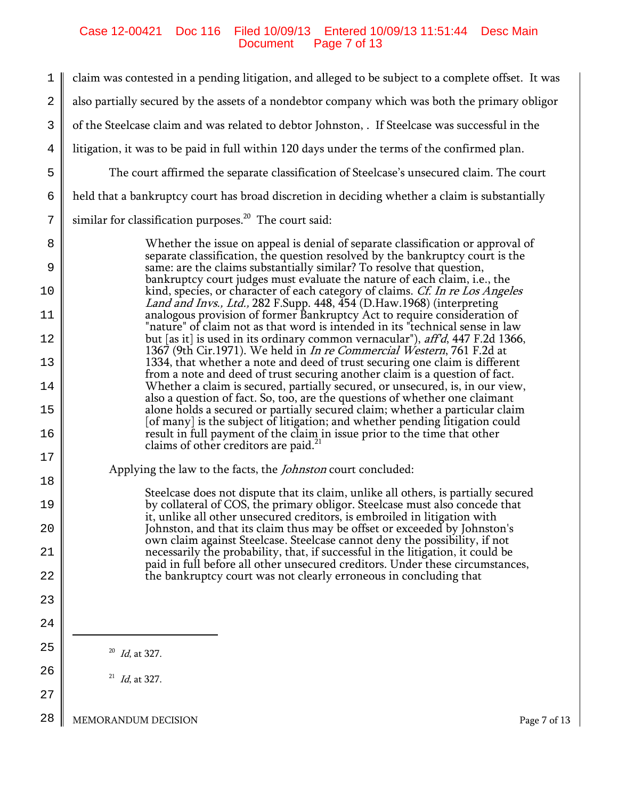# Case 12-00421 Doc 116 Filed 10/09/13 Entered 10/09/13 11:51:44 Desc Main Document Page 7 of 13

| 1            | claim was contested in a pending litigation, and alleged to be subject to a complete offset. It was                                                                     |
|--------------|-------------------------------------------------------------------------------------------------------------------------------------------------------------------------|
| $\mathbf{2}$ | also partially secured by the assets of a nondebtor company which was both the primary obligor                                                                          |
| 3            | of the Steelcase claim and was related to debtor Johnston, . If Steelcase was successful in the                                                                         |
| 4            | litigation, it was to be paid in full within 120 days under the terms of the confirmed plan.                                                                            |
| 5            | The court affirmed the separate classification of Steelcase's unsecured claim. The court                                                                                |
| 6            | held that a bankruptcy court has broad discretion in deciding whether a claim is substantially                                                                          |
| 7            | similar for classification purposes. <sup>20</sup> The court said:                                                                                                      |
| 8            | Whether the issue on appeal is denial of separate classification or approval of<br>separate classification, the question resolved by the bankruptcy court is the        |
| 9            | same: are the claims substantially similar? To resolve that question,<br>bankruptcy court judges must evaluate the nature of each claim, i.e., the                      |
| 10           | kind, species, or character of each category of claims. <i>Cf. In re Los Angeles</i><br><i>Land and Invs., Ltd.,</i> 282 F.Supp. 448, 454 (D.Haw.1968) (interpreting    |
| 11           | analogous provision of former Bankruptcy Act to require consideration of<br>"nature" of claim not as that word is intended in its "technical sense in law               |
| 12           | but [as it] is used in its ordinary common vernacular"), <i>aff'd</i> , 447 F.2d 1366,<br>1367 (9th Cir.1971). We held in <i>In re Commercial Western</i> , 761 F.2d at |
| 13           | 1334, that whether a note and deed of trust securing one claim is different<br>from a note and deed of trust securing another claim is a question of fact.              |
| 14           | Whether a claim is secured, partially secured, or unsecured, is, in our view,<br>also a question of fact. So, too, are the questions of whether one claimant            |
| 15           | alone holds a secured or partially secured claim; whether a particular claim<br>[of many] is the subject of litigation; and whether pending litigation could            |
| 16           | result in full payment of the claim in issue prior to the time that other<br>claims of other creditors are paid. <sup>21</sup>                                          |
| 17           | Applying the law to the facts, the <i>Johnston</i> court concluded:                                                                                                     |
| 18           | Steelcase does not dispute that its claim, unlike all others, is partially secured                                                                                      |
| 19           | by collateral of COS, the primary obligor. Steelcase must also concede that<br>it, unlike all other unsecured creditors, is embroiled in litigation with                |
| 20           | Johnston, and that its claim thus may be offset or exceeded by Johnston's<br>own claim against Steelcase. Steelcase cannot deny the possibility, if not                 |
| 21           | necessarily the probability, that, if successful in the litigation, it could be<br>paid in full before all other unsecured creditors. Under these circumstances,        |
| 22           | the bankruptcy court was not clearly erroneous in concluding that                                                                                                       |
| 23<br>24     |                                                                                                                                                                         |
| 25           |                                                                                                                                                                         |
| 26           | 20<br>Id, at 327.                                                                                                                                                       |
| 27           | $^{21}$ <i>Id</i> , at 327.                                                                                                                                             |
|              |                                                                                                                                                                         |

28 MEMORANDUM DECISION **Page 7** of 13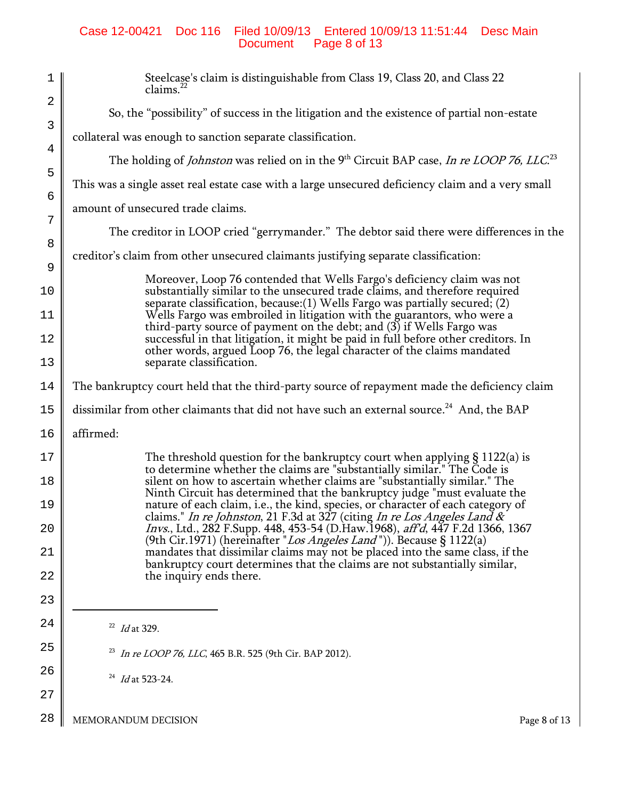## Case 12-00421 Doc 116 Filed 10/09/13 Entered 10/09/13 11:51:44 Desc Main Document Page 8 of 13

| $\mathbf 1$    | Steelcase's claim is distinguishable from Class 19, Class 20, and Class 22<br>claims. <sup>2</sup>                                                            |
|----------------|---------------------------------------------------------------------------------------------------------------------------------------------------------------|
| $\overline{2}$ | So, the "possibility" of success in the litigation and the existence of partial non-estate                                                                    |
| 3              | collateral was enough to sanction separate classification.                                                                                                    |
| 4              | The holding of <i>Johnston</i> was relied on in the 9 <sup>th</sup> Circuit BAP case, <i>In re LOOP 76, LLC</i> <sup>23</sup>                                 |
| 5<br>6         | This was a single asset real estate case with a large unsecured deficiency claim and a very small                                                             |
| 7              | amount of unsecured trade claims.                                                                                                                             |
| 8              | The creditor in LOOP cried "gerrymander." The debtor said there were differences in the                                                                       |
| 9              | creditor's claim from other unsecured claimants justifying separate classification:                                                                           |
| 10             | Moreover, Loop 76 contended that Wells Fargo's deficiency claim was not<br>substantially similar to the unsecured trade claims, and therefore required        |
| 11             | separate classification, because: $(1)$ Wells Fargo was partially secured; $(2)$<br>Wells Fargo was embroiled in litigation with the guarantors, who were a   |
| 12             | third-party source of payment on the debt; and $(3)$ if Wells Fargo was<br>successful in that litigation, it might be paid in full before other creditors. In |
| 13             | other words, argued Loop 76, the legal character of the claims mandated<br>separate classification.                                                           |
| 14             | The bankruptcy court held that the third-party source of repayment made the deficiency claim                                                                  |
| 15             | dissimilar from other claimants that did not have such an external source. <sup>24</sup> And, the BAP                                                         |
| 16             | affirmed:                                                                                                                                                     |
| 17             | The threshold question for the bankruptcy court when applying $\S 1122(a)$ is<br>to determine whether the claims are "substantially similar." The Code is     |
| 18             | silent on how to ascertain whether claims are "substantially similar." The<br>Ninth Circuit has determined that the bankruptcy judge "must evaluate the       |
| 19             | nature of each claim, i.e., the kind, species, or character of each category of<br>claims." In re Johnston, 21 F.3d at 327 (citing In re Los Angeles Land &   |
| 20             | Invs., Ltd., 282 F.Supp. 448, 453-54 (D.Haw.1968), aff'd, 447 F.2d 1366, 1367<br>(9th Cir.1971) (hereinafter " <i>Los Angeles Land</i> ")). Because § 1122(a) |
| 21             | mandates that dissimilar claims may not be placed into the same class, if the<br>bankruptcy court determines that the claims are not substantially similar,   |
| 22             | the inquiry ends there.                                                                                                                                       |
| 23             |                                                                                                                                                               |
| 24             | $^{22}$ <i>Id</i> at 329.                                                                                                                                     |
| 25             | <sup>23</sup> In re LOOP 76, LLC, 465 B.R. 525 (9th Cir. BAP 2012).                                                                                           |
| 26             | 24<br>Id at 523-24.                                                                                                                                           |
| 27             |                                                                                                                                                               |
| 28             | MEMORANDUM DECISION<br>Page 8 of 13                                                                                                                           |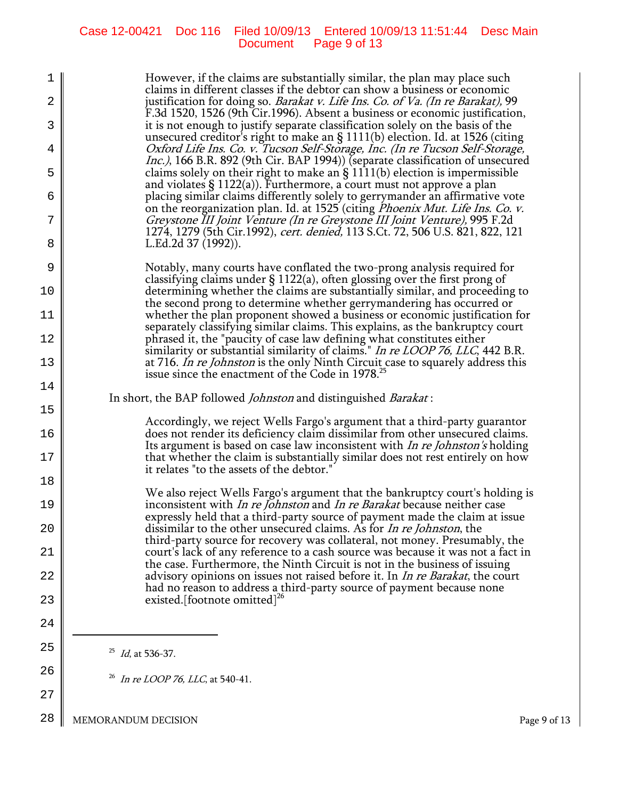# Case 12-00421 Doc 116 Filed 10/09/13 Entered 10/09/13 11:51:44 Desc Main Document Page 9 of 13

| ı<br>2 | However, if the claims are substantially similar, the plan may place such<br>claims in different classes if the debtor can show a business or economic<br>justification for doing so. Barakat v. Life Ins. Co. of Va. (In re Barakat), 99        |
|--------|--------------------------------------------------------------------------------------------------------------------------------------------------------------------------------------------------------------------------------------------------|
| 3      | F.3d 1520, 1526 (9th Cir.1996). Absent a business or economic justification,<br>it is not enough to justify separate classification solely on the basis of the                                                                                   |
| 4      | unsecured creditor's right to make an $\S$ 1111(b) election. Id. at 1526 (citing<br>Oxford Life Ins. Co. v. Tucson Self-Storage, Inc. (In re Tucson Self-Storage,                                                                                |
| 5      | <i>Inc.)</i> , 166 B.R. 892 (9th Cir. BAP 1994)) (separate classification of unsecured<br>claims solely on their right to make an $\S$ 1111(b) election is impermissible                                                                         |
| 6      | and violates $\S$ 1122(a)). Furthermore, a court must not approve a plan<br>placing similar claims differently solely to gerrymander an affirmative vote<br>on the reorganization plan. Id. at 1525 (citing <i>Phoenix Mut. Life Ins. Co. v.</i> |
| 7      | Greystone III Joint Venture (In re Greystone III Joint Venture), 995 F.2d<br>1274, 1279 (5th Cir.1992), cert. denied, 113 S.Ct. 72, 506 U.S. 821, 822, 121                                                                                       |
| 8      | L.Ed.2d 37 (1992)).                                                                                                                                                                                                                              |
| 9      | Notably, many courts have conflated the two-prong analysis required for<br>classifying claims under $\S 1122(a)$ , often glossing over the first prong of                                                                                        |
| 10     | determining whether the claims are substantially similar, and proceeding to<br>the second prong to determine whether gerrymandering has occurred or                                                                                              |
| 11     | whether the plan proponent showed a business or economic justification for<br>separately classifying similar claims. This explains, as the bankruptcy court                                                                                      |
| 12     | phrased it, the "paucity of case law defining what constitutes either<br>similarity or substantial similarity of claims." In re LOOP 76, LLC, 442 B.R.                                                                                           |
| 13     | at 716. In re Johnston is the only Ninth Circuit case to squarely address this<br>issue since the enactment of the Code in 1978. <sup>25</sup>                                                                                                   |
| 14     | In short, the BAP followed <i>Johnston</i> and distinguished <i>Barakat</i> :                                                                                                                                                                    |
| 15     | Accordingly, we reject Wells Fargo's argument that a third-party guarantor                                                                                                                                                                       |
| 16     | does not render its deficiency claim dissimilar from other unsecured claims.<br>Its argument is based on case law inconsistent with <i>In re Johnston's</i> holding                                                                              |
| 17     | that whether the claim is substantially similar does not rest entirely on how<br>it relates "to the assets of the debtor."                                                                                                                       |
| 18     | We also reject Wells Fargo's argument that the bankruptcy court's holding is                                                                                                                                                                     |
| 19     | inconsistent with <i>In re Johnston</i> and <i>In re Barakat</i> because neither case<br>expressly held that a third-party source of payment made the claim at issue                                                                             |
| 20     | dissimilar to the other unsecured claims. As for <i>In re Johnston</i> , the<br>third-party source for recovery was collateral, not money. Presumably, the                                                                                       |
| 21     | court's lack of any reference to a cash source was because it was not a fact in<br>the case. Furthermore, the Ninth Circuit is not in the business of issuing                                                                                    |
| 22     | advisory opinions on issues not raised before it. In <i>In re Barakat</i> , the court<br>had no reason to address a third-party source of payment because none                                                                                   |
| 23     | existed. [footnote omitted] <sup>26</sup>                                                                                                                                                                                                        |
| 24     |                                                                                                                                                                                                                                                  |
| 25     | $^{25}$ <i>Id</i> , at 536-37.                                                                                                                                                                                                                   |
| 26     | <sup>26</sup> <i>In re LOOP 76, LLC</i> , at 540-41.                                                                                                                                                                                             |
| 27     |                                                                                                                                                                                                                                                  |
| 28     | MEMORANDUM DECISION<br>Page 9 of 13                                                                                                                                                                                                              |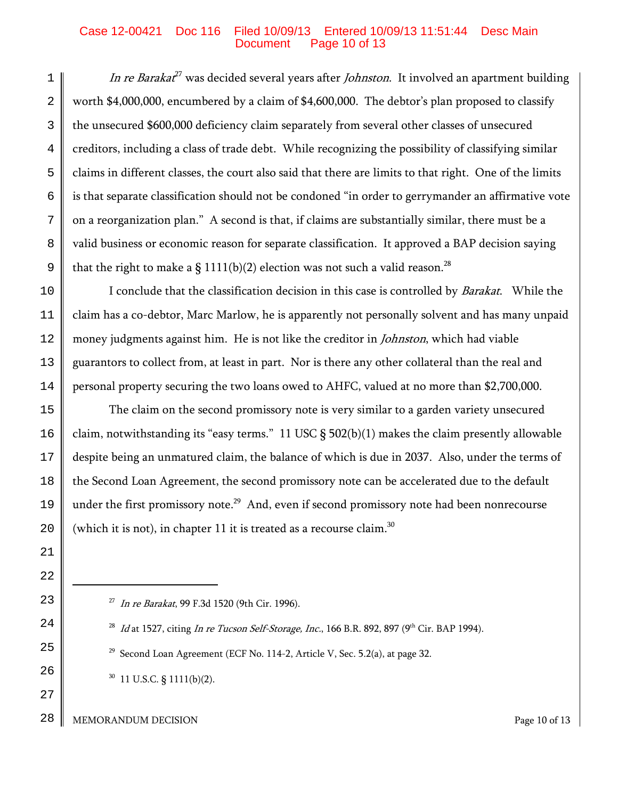#### Case 12-00421 Doc 116 Filed 10/09/13 Entered 10/09/13 11:51:44 Desc Main Page 10 of 13

1 2 3 4 5 6 7 8 9 In re Barakat<sup>27</sup> was decided several years after *Johnston*. It involved an apartment building worth \$4,000,000, encumbered by a claim of \$4,600,000. The debtor's plan proposed to classify the unsecured \$600,000 deficiency claim separately from several other classes of unsecured creditors, including a class of trade debt. While recognizing the possibility of classifying similar claims in different classes, the court also said that there are limits to that right. One of the limits is that separate classification should not be condoned "in order to gerrymander an affirmative vote on a reorganization plan." A second is that, if claims are substantially similar, there must be a valid business or economic reason for separate classification. It approved a BAP decision saying that the right to make a § 1111(b)(2) election was not such a valid reason.<sup>28</sup>

10 11 12 13 14 I conclude that the classification decision in this case is controlled by Barakat. While the claim has a co-debtor, Marc Marlow, he is apparently not personally solvent and has many unpaid money judgments against him. He is not like the creditor in *Johnston*, which had viable guarantors to collect from, at least in part. Nor is there any other collateral than the real and personal property securing the two loans owed to AHFC, valued at no more than \$2,700,000.

15 16 17 18 19 20 The claim on the second promissory note is very similar to a garden variety unsecured claim, notwithstanding its "easy terms." 11 USC § 502(b)(1) makes the claim presently allowable despite being an unmatured claim, the balance of which is due in 2037. Also, under the terms of the Second Loan Agreement, the second promissory note can be accelerated due to the default under the first promissory note.<sup>29</sup> And, even if second promissory note had been nonrecourse (which it is not), in chapter 11 it is treated as a recourse claim.<sup>30</sup>

- <sup>27</sup> In re Barakat, 99 F.3d 1520 (9th Cir. 1996).
- <sup>28</sup> Id at 1527, citing In re Tucson Self-Storage, Inc., 166 B.R. 892, 897 (9<sup>th</sup> Cir. BAP 1994).
- $29$  Second Loan Agreement (ECF No. 114-2, Article V, Sec. 5.2(a), at page 32.
- $30$  11 U.S.C. § 1111(b)(2).
- 28 MEMORANDUM DECISION Page 10 of 13

21

22

23

24

25

26

27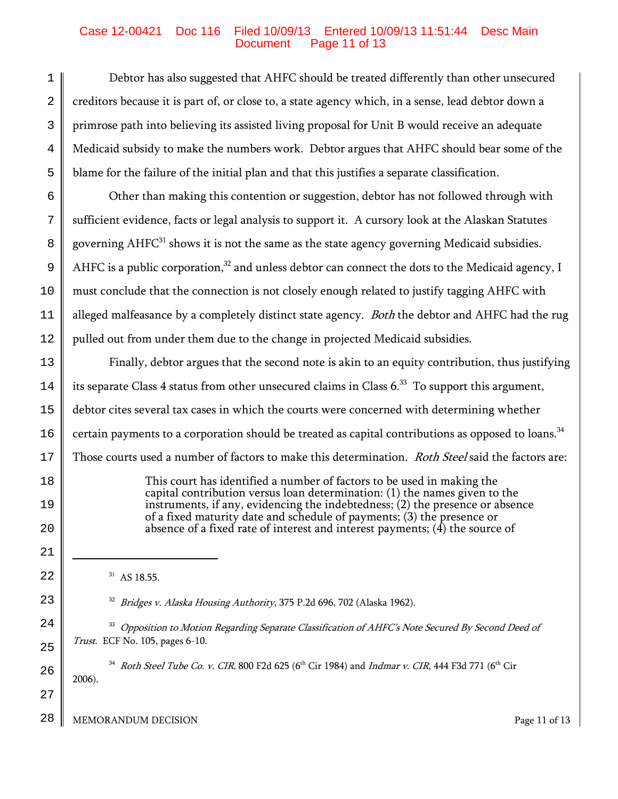## Case 12-00421 Doc 116 Filed 10/09/13 Entered 10/09/13 11:51:44 Desc Main Page 11 of 13

1 2 3 4 5 6 7 8 9 10 11 12 13 14 15 16 17 18 19 20 21 22 23 24 25 26 27 28 Debtor has also suggested that AHFC should be treated differently than other unsecured creditors because it is part of, or close to, a state agency which, in a sense, lead debtor down a primrose path into believing its assisted living proposal for Unit B would receive an adequate Medicaid subsidy to make the numbers work. Debtor argues that AHFC should bear some of the blame for the failure of the initial plan and that this justifies a separate classification. Other than making this contention or suggestion, debtor has not followed through with sufficient evidence, facts or legal analysis to support it. A cursory look at the Alaskan Statutes governing  $AHFC<sup>31</sup>$  shows it is not the same as the state agency governing Medicaid subsidies. AHFC is a public corporation, $32$  and unless debtor can connect the dots to the Medicaid agency, I must conclude that the connection is not closely enough related to justify tagging AHFC with alleged malfeasance by a completely distinct state agency. *Both* the debtor and AHFC had the rug pulled out from under them due to the change in projected Medicaid subsidies. Finally, debtor argues that the second note is akin to an equity contribution, thus justifying its separate Class 4 status from other unsecured claims in Class  $6<sup>33</sup>$  To support this argument, debtor cites several tax cases in which the courts were concerned with determining whether certain payments to a corporation should be treated as capital contributions as opposed to loans.<sup>34</sup> Those courts used a number of factors to make this determination. Roth Steel said the factors are: This court has identified a number of factors to be used in making the capital contribution versus loan determination: (1) the names given to the instruments, if any, evidencing the indebtedness; (2) the presence or absence of a fixed maturity date and schedule of payments; (3) the presence or absence of a fixed rate of interest and interest payments;  $(4)$  the source of  $31$  AS 18.55. <sup>32</sup> Bridges v. Alaska Housing Authority, 375 P.2d 696, 702 (Alaska 1962). <sup>33</sup> Opposition to Motion Regarding Separate Classification of AHFC's Note Secured By Second Deed of Trust. ECF No. 105, pages 6-10.  $34$  Roth Steel Tube Co. v. CIR, 800 F2d 625 (6<sup>th</sup> Cir 1984) and Indmar v. CIR, 444 F3d 771 (6<sup>th</sup> Cir 2006). MEMORANDUM DECISION **Page 11** of 13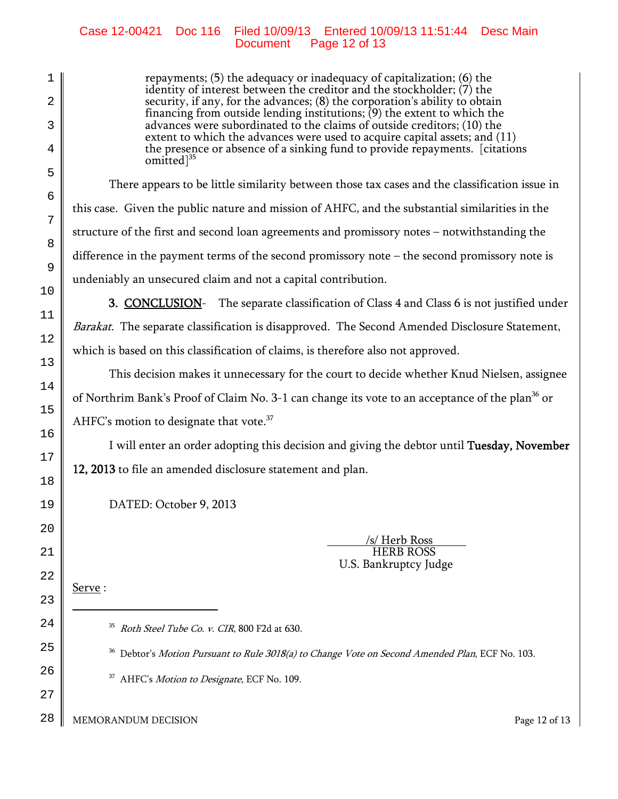## Case 12-00421 Doc 116 Filed 10/09/13 Entered 10/09/13 11:51:44 Desc Main Page 12 of 13

repayments; (5) the adequacy or inadequacy of capitalization; (6) the identity of interest between the creditor and the stockholder; (7) the security, if any, for the advances; (8) the corporation's ability to obtain financing from outside lending institutions; (9) the extent to which the advances were subordinated to the claims of outside creditors; (10) the extent to which the advances were used to acquire capital assets; and (11) the presence or absence of a sinking fund to provide repayments. [citations omitted<sup>35</sup>

There appears to be little similarity between those tax cases and the classification issue in this case. Given the public nature and mission of AHFC, and the substantial similarities in the structure of the first and second loan agreements and promissory notes – notwithstanding the difference in the payment terms of the second promissory note – the second promissory note is undeniably an unsecured claim and not a capital contribution.

**3. CONCLUSION-** The separate classification of Class 4 and Class 6 is not justified under Barakat. The separate classification is disapproved. The Second Amended Disclosure Statement, which is based on this classification of claims, is therefore also not approved.

This decision makes it unnecessary for the court to decide whether Knud Nielsen, assignee of Northrim Bank's Proof of Claim No. 3-1 can change its vote to an acceptance of the plan<sup>36</sup> or AHFC's motion to designate that vote.<sup>37</sup>

I will enter an order adopting this decision and giving the debtor until Tuesday, November 12, 2013 to file an amended disclosure statement and plan.

DATED: October 9, 2013

 /s/ Herb Ross HERB ROSS U.S. Bankruptcy Judge

Serve :

<sup>35</sup> Roth Steel Tube Co. v. CIR, 800 F2d at 630.

<sup>36</sup> Debtor's *Motion Pursuant to Rule 3018(a) to Change Vote on Second Amended Plan*, ECF No. 103.

<sup>37</sup> AHFC's *Motion to Designate*, ECF No. 109.

28 MEMORANDUM DECISION **Page 12 of 13**